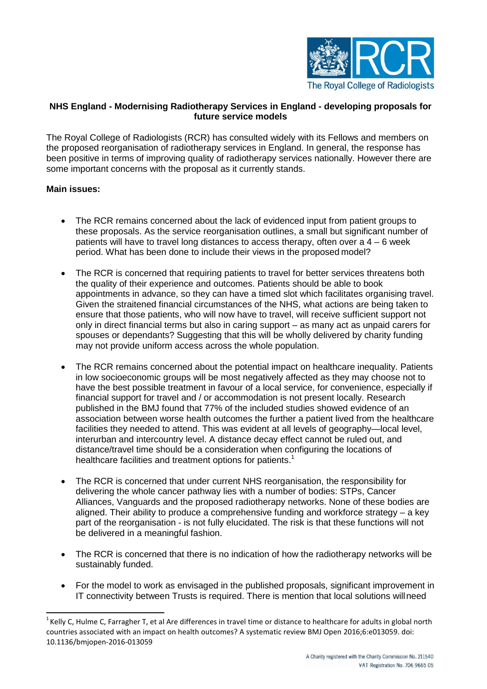

# **NHS England - Modernising Radiotherapy Services in England - developing proposals for future service models**

The Royal College of Radiologists (RCR) has consulted widely with its Fellows and members on the proposed reorganisation of radiotherapy services in England. In general, the response has been positive in terms of improving quality of radiotherapy services nationally. However there are some important concerns with the proposal as it currently stands.

# **Main issues:**

- The RCR remains concerned about the lack of evidenced input from patient groups to these proposals. As the service reorganisation outlines, a small but significant number of patients will have to travel long distances to access therapy, often over  $a$   $4 - 6$  week period. What has been done to include their views in the proposed model?
- The RCR is concerned that requiring patients to travel for better services threatens both the quality of their experience and outcomes. Patients should be able to book appointments in advance, so they can have a timed slot which facilitates organising travel. Given the straitened financial circumstances of the NHS, what actions are being taken to ensure that those patients, who will now have to travel, will receive sufficient support not only in direct financial terms but also in caring support – as many act as unpaid carers for spouses or dependants? Suggesting that this will be wholly delivered by charity funding may not provide uniform access across the whole population.
- The RCR remains concerned about the potential impact on healthcare inequality. Patients in low socioeconomic groups will be most negatively affected as they may choose not to have the best possible treatment in favour of a local service, for convenience, especially if financial support for travel and / or accommodation is not present locally. Research published in the BMJ found that 77% of the included studies showed evidence of an association between worse health outcomes the further a patient lived from the healthcare facilities they needed to attend. This was evident at all levels of geography—local level, interurban and intercountry level. A distance decay effect cannot be ruled out, and distance/travel time should be a consideration when configuring the locations of healthcare facilities and treatment options for patients.<sup>[1](#page-0-0)</sup>
- The RCR is concerned that under current NHS reorganisation, the responsibility for delivering the whole cancer pathway lies with a number of bodies: STPs, Cancer Alliances, Vanguards and the proposed radiotherapy networks. None of these bodies are aligned. Their ability to produce a comprehensive funding and workforce strategy – a key part of the reorganisation - is not fully elucidated. The risk is that these functions will not be delivered in a meaningful fashion.
- The RCR is concerned that there is no indication of how the radiotherapy networks will be sustainably funded.
- For the model to work as envisaged in the published proposals, significant improvement in IT connectivity between Trusts is required. There is mention that local solutions willneed

<span id="page-0-0"></span><sup>&</sup>lt;sup>1</sup> Kelly C, Hulme C, Farragher T, et al Are differences in travel time or distance to healthcare for adults in global north countries associated with an impact on health outcomes? A systematic review BMJ Open 2016;6:e013059. doi: 10.1136/bmjopen-2016-013059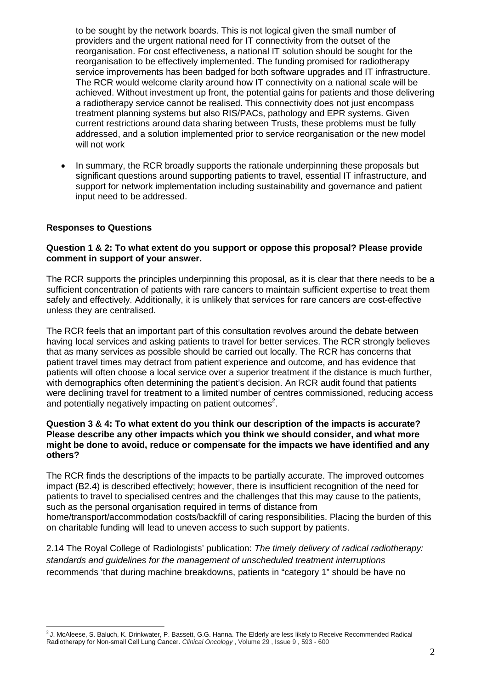to be sought by the network boards. This is not logical given the small number of providers and the urgent national need for IT connectivity from the outset of the reorganisation. For cost effectiveness, a national IT solution should be sought for the reorganisation to be effectively implemented. The funding promised for radiotherapy service improvements has been badged for both software upgrades and IT infrastructure. The RCR would welcome clarity around how IT connectivity on a national scale will be achieved. Without investment up front, the potential gains for patients and those delivering a radiotherapy service cannot be realised. This connectivity does not just encompass treatment planning systems but also RIS/PACs, pathology and EPR systems. Given current restrictions around data sharing between Trusts, these problems must be fully addressed, and a solution implemented prior to service reorganisation or the new model will not work

• In summary, the RCR broadly supports the rationale underpinning these proposals but significant questions around supporting patients to travel, essential IT infrastructure, and support for network implementation including sustainability and governance and patient input need to be addressed.

# **Responses to Questions**

## **Question 1 & 2: To what extent do you support or oppose this proposal? Please provide comment in support of your answer.**

The RCR supports the principles underpinning this proposal, as it is clear that there needs to be a sufficient concentration of patients with rare cancers to maintain sufficient expertise to treat them safely and effectively. Additionally, it is unlikely that services for rare cancers are cost-effective unless they are centralised.

The RCR feels that an important part of this consultation revolves around the debate between having local services and asking patients to travel for better services. The RCR strongly believes that as many services as possible should be carried out locally. The RCR has concerns that patient travel times may detract from patient experience and outcome, and has evidence that patients will often choose a local service over a superior treatment if the distance is much further, with demographics often determining the patient's decision. An RCR audit found that patients were declining travel for treatment to a limited number of centres commissioned, reducing access and potentially negatively impacting on patient outcome[s](#page-1-0)<sup>2</sup>.

### **Question 3 & 4: To what extent do you think our description of the impacts is accurate? Please describe any other impacts which you think we should consider, and what more might be done to avoid, reduce or compensate for the impacts we have identified and any others?**

The RCR finds the descriptions of the impacts to be partially accurate. The improved outcomes impact (B2.4) is described effectively; however, there is insufficient recognition of the need for patients to travel to specialised centres and the challenges that this may cause to the patients, such as the personal organisation required in terms of distance from home/transport/accommodation costs/backfill of caring responsibilities. Placing the burden of this on charitable funding will lead to uneven access to such support by patients.

2.14 The Royal College of Radiologists' publication: *The timely delivery of radical radiotherapy: standards and guidelines for the management of unscheduled treatment interruptions*  recommends 'that during machine breakdowns, patients in "category 1" should be have no

<span id="page-1-0"></span><sup>&</sup>lt;sup>2</sup> J. McAleese, S. Baluch, K. Drinkwater, P. Bassett, G.G. Hanna. The Elderly are less likely to Receive Recommended Radical Radiotherapy for Non-small Cell Lung Cancer. *Clinical Oncology* , Volume 29 , Issue 9 , 593 - 600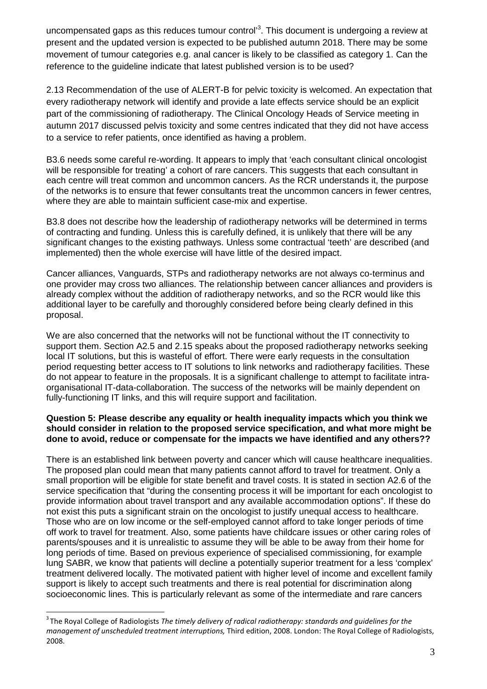uncompensated gaps as this reduces tumour control<sup>[3](#page-2-0)</sup>. This document is undergoing a review at present and the updated version is expected to be published autumn 2018. There may be some movement of tumour categories e.g. anal cancer is likely to be classified as category 1. Can the reference to the guideline indicate that latest published version is to be used?

2.13 Recommendation of the use of ALERT-B for pelvic toxicity is welcomed. An expectation that every radiotherapy network will identify and provide a late effects service should be an explicit part of the commissioning of radiotherapy. The Clinical Oncology Heads of Service meeting in autumn 2017 discussed pelvis toxicity and some centres indicated that they did not have access to a service to refer patients, once identified as having a problem.

B3.6 needs some careful re-wording. It appears to imply that 'each consultant clinical oncologist will be responsible for treating' a cohort of rare cancers. This suggests that each consultant in each centre will treat common and uncommon cancers. As the RCR understands it, the purpose of the networks is to ensure that fewer consultants treat the uncommon cancers in fewer centres, where they are able to maintain sufficient case-mix and expertise.

B3.8 does not describe how the leadership of radiotherapy networks will be determined in terms of contracting and funding. Unless this is carefully defined, it is unlikely that there will be any significant changes to the existing pathways. Unless some contractual 'teeth' are described (and implemented) then the whole exercise will have little of the desired impact.

Cancer alliances, Vanguards, STPs and radiotherapy networks are not always co-terminus and one provider may cross two alliances. The relationship between cancer alliances and providers is already complex without the addition of radiotherapy networks, and so the RCR would like this additional layer to be carefully and thoroughly considered before being clearly defined in this proposal.

We are also concerned that the networks will not be functional without the IT connectivity to support them. Section A2.5 and 2.15 speaks about the proposed radiotherapy networks seeking local IT solutions, but this is wasteful of effort. There were early requests in the consultation period requesting better access to IT solutions to link networks and radiotherapy facilities. These do not appear to feature in the proposals. It is a significant challenge to attempt to facilitate intraorganisational IT-data-collaboration. The success of the networks will be mainly dependent on fully-functioning IT links, and this will require support and facilitation.

# **Question 5: Please describe any equality or health inequality impacts which you think we should consider in relation to the proposed service specification, and what more might be done to avoid, reduce or compensate for the impacts we have identified and any others??**

There is an established link between poverty and cancer which will cause healthcare inequalities. The proposed plan could mean that many patients cannot afford to travel for treatment. Only a small proportion will be eligible for state benefit and travel costs. It is stated in section A2.6 of the service specification that "during the consenting process it will be important for each oncologist to provide information about travel transport and any available accommodation options". If these do not exist this puts a significant strain on the oncologist to justify unequal access to healthcare. Those who are on low income or the self-employed cannot afford to take longer periods of time off work to travel for treatment. Also, some patients have childcare issues or other caring roles of parents/spouses and it is unrealistic to assume they will be able to be away from their home for long periods of time. Based on previous experience of specialised commissioning, for example lung SABR, we know that patients will decline a potentially superior treatment for a less 'complex' treatment delivered locally. The motivated patient with higher level of income and excellent family support is likely to accept such treatments and there is real potential for discrimination along socioeconomic lines. This is particularly relevant as some of the intermediate and rare cancers

<span id="page-2-0"></span><sup>3</sup> The Royal College of Radiologists *The timely delivery of radical radiotherapy: standards and guidelines for the management of unscheduled treatment interruptions,* Third edition, 2008. London: The Royal College of Radiologists, 2008.